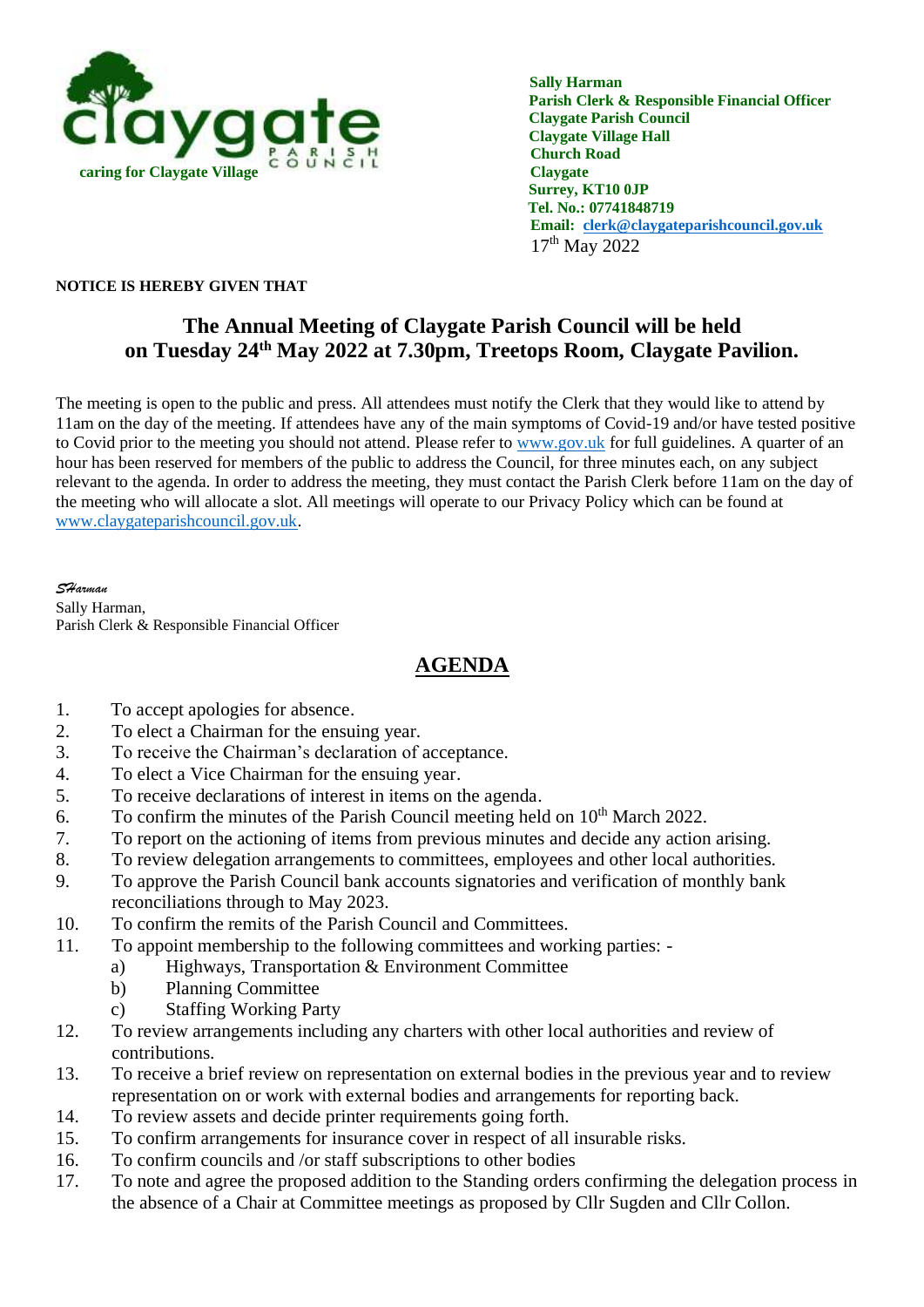

 **Sally Harman Parish Clerk & Responsible Financial Officer Claygate Parish Council Claygate Village Hall Church Road Tel. No.: 07741848719 Email: [clerk@claygateparishcouncil.gov.uk](mailto:clerk@claygateparishcouncil.gov.uk)** 17<sup>th</sup> May 2022

## **NOTICE IS HEREBY GIVEN THAT**

## **The Annual Meeting of Claygate Parish Council will be held on Tuesday 24th May 2022 at 7.30pm, Treetops Room, Claygate Pavilion.**

The meeting is open to the public and press. All attendees must notify the Clerk that they would like to attend by 11am on the day of the meeting. If attendees have any of the main symptoms of Covid-19 and/or have tested positive to Covid prior to the meeting you should not attend. Please refer to [www.gov.uk](http://www.gov.uk/) for full guidelines. A quarter of an hour has been reserved for members of the public to address the Council, for three minutes each, on any subject relevant to the agenda. In order to address the meeting, they must contact the Parish Clerk before 11am on the day of the meeting who will allocate a slot. All meetings will operate to our Privacy Policy which can be found at [www.claygateparishcouncil.gov.uk.](http://www.claygateparishcouncil.gov.uk/)

*SHarman* Sally Harman, Parish Clerk & Responsible Financial Officer

## **AGENDA**

- 1. To accept apologies for absence.
- 2. To elect a Chairman for the ensuing year.
- 3. To receive the Chairman's declaration of acceptance.
- 4. To elect a Vice Chairman for the ensuing year.
- 5. To receive declarations of interest in items on the agenda.
- 6. To confirm the minutes of the Parish Council meeting held on  $10<sup>th</sup>$  March 2022.
- 7. To report on the actioning of items from previous minutes and decide any action arising.
- 8. To review delegation arrangements to committees, employees and other local authorities.
- 9. To approve the Parish Council bank accounts signatories and verification of monthly bank reconciliations through to May 2023.
- 10. To confirm the remits of the Parish Council and Committees.
- 11. To appoint membership to the following committees and working parties:
	- a) Highways, Transportation & Environment Committee
	- b) Planning Committee
	- c) Staffing Working Party
- 12. To review arrangements including any charters with other local authorities and review of contributions.
- 13. To receive a brief review on representation on external bodies in the previous year and to review representation on or work with external bodies and arrangements for reporting back.
- 14. To review assets and decide printer requirements going forth.
- 15. To confirm arrangements for insurance cover in respect of all insurable risks.
- 16. To confirm councils and /or staff subscriptions to other bodies
- 17. To note and agree the proposed addition to the Standing orders confirming the delegation process in the absence of a Chair at Committee meetings as proposed by Cllr Sugden and Cllr Collon.